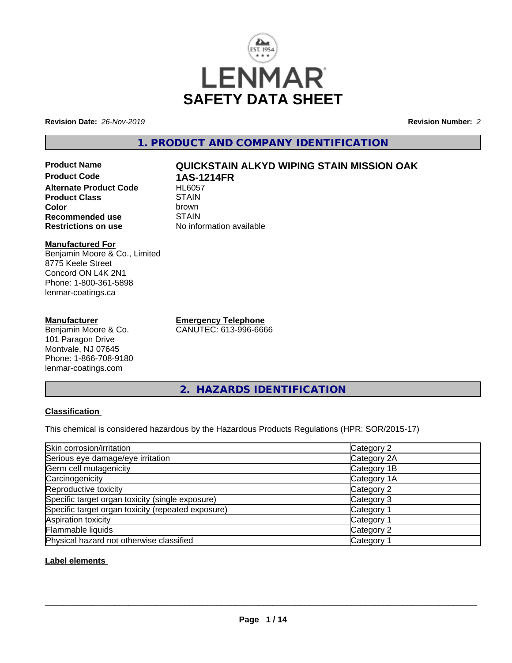

**Revision Date:** *26-Nov-2019* **Revision Number:** *2*

**1. PRODUCT AND COMPANY IDENTIFICATION**

**Product Name QUICKSTAIN ALKYD WIPING STAIN MISSION OAK Product Code 1AS-1214FR Alternate Product Code Product Class** STAIN<br> **Color** brown **Color** brown **Recommended use** STAIN<br> **Restrictions on use** No info

#### **Manufactured For** Benjamin Moore & Co., Limited 8775 Keele Street Concord ON L4K 2N1 Phone: 1-800-361-5898 lenmar-coatings.ca

# **Manufacturer**

Benjamin Moore & Co. 101 Paragon Drive Montvale, NJ 07645 Phone: 1-866-708-9180 lenmar-coatings.com

**Emergency Telephone** CANUTEC: 613-996-6666

**No information available** 

**2. HAZARDS IDENTIFICATION**

# **Classification**

This chemical is considered hazardous by the Hazardous Products Regulations (HPR: SOR/2015-17)

| Skin corrosion/irritation                          | Category 2            |
|----------------------------------------------------|-----------------------|
| Serious eye damage/eye irritation                  | Category 2A           |
| Germ cell mutagenicity                             | Category 1B           |
| Carcinogenicity                                    | Category 1A           |
| Reproductive toxicity                              | Category 2            |
| Specific target organ toxicity (single exposure)   | Category 3            |
| Specific target organ toxicity (repeated exposure) | Category 1            |
| Aspiration toxicity                                | Category <sup>2</sup> |
| Flammable liquids                                  | Category 2            |
| Physical hazard not otherwise classified           | Category              |

## **Label elements**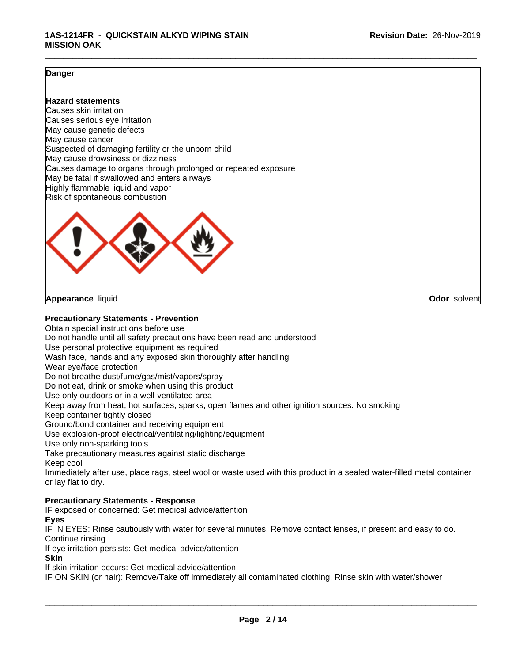#### **Danger**

#### **Hazard statements**

Causes skin irritation Causes serious eye irritation May cause genetic defects May cause cancer Suspected of damaging fertility or the unborn child May cause drowsiness or dizziness Causes damage to organs through prolonged or repeated exposure May be fatal if swallowed and enters airways Highly flammable liquid and vapor Risk of spontaneous combustion



**Appearance** liquid **Odor** solvent

**Precautionary Statements - Prevention**

Obtain special instructions before use Do not handle until all safety precautions have been read and understood Use personal protective equipment as required Wash face, hands and any exposed skin thoroughly after handling Wear eye/face protection Do not breathe dust/fume/gas/mist/vapors/spray Do not eat, drink or smoke when using this product Use only outdoors or in a well-ventilated area Keep away from heat, hot surfaces, sparks, open flames and other ignition sources. No smoking Keep container tightly closed Ground/bond container and receiving equipment Use explosion-proof electrical/ventilating/lighting/equipment Use only non-sparking tools Take precautionary measures against static discharge Keep cool Immediately after use, place rags, steel wool or waste used with this product in a sealed water-filled metal container or lay flat to dry. **Precautionary Statements - Response**

IF exposed or concerned: Get medical advice/attention

**Eyes**

IF IN EYES: Rinse cautiously with water for several minutes. Remove contact lenses, if present and easy to do. Continue rinsing

If eye irritation persists: Get medical advice/attention

**Skin**

If skin irritation occurs: Get medical advice/attention

IF ON SKIN (or hair): Remove/Take off immediately all contaminated clothing. Rinse skin with water/shower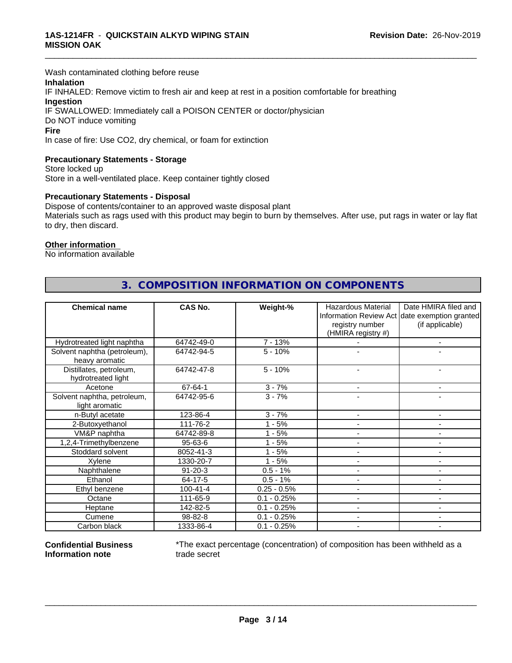Wash contaminated clothing before reuse

## **Inhalation**

IF INHALED: Remove victim to fresh air and keep at rest in a position comfortable for breathing **Ingestion** IF SWALLOWED: Immediately call a POISON CENTER or doctor/physician Do NOT induce vomiting

#### **Fire**

In case of fire: Use CO2, dry chemical, or foam for extinction

#### **Precautionary Statements - Storage**

Store locked up Store in a well-ventilated place. Keep container tightly closed

#### **Precautionary Statements - Disposal**

Dispose of contents/container to an approved waste disposal plant Materials such as rags used with this product may begin to burn by themselves. After use, put rags in water or lay flat to dry, then discard.

\_\_\_\_\_\_\_\_\_\_\_\_\_\_\_\_\_\_\_\_\_\_\_\_\_\_\_\_\_\_\_\_\_\_\_\_\_\_\_\_\_\_\_\_\_\_\_\_\_\_\_\_\_\_\_\_\_\_\_\_\_\_\_\_\_\_\_\_\_\_\_\_\_\_\_\_\_\_\_\_\_\_\_\_\_\_\_\_\_\_\_\_\_

#### **Other information**

No information available

| <b>Chemical name</b>                           | <b>CAS No.</b> | Weight-%      | <b>Hazardous Material</b> | Date HMIRA filed and                          |
|------------------------------------------------|----------------|---------------|---------------------------|-----------------------------------------------|
|                                                |                |               |                           | Information Review Act date exemption granted |
|                                                |                |               | registry number           | (if applicable)                               |
|                                                |                |               | (HMIRA registry #)        |                                               |
| Hydrotreated light naphtha                     | 64742-49-0     | $7 - 13%$     |                           | $\overline{\phantom{a}}$                      |
| Solvent naphtha (petroleum),<br>heavy aromatic | 64742-94-5     | $5 - 10%$     |                           |                                               |
| Distillates, petroleum,<br>hydrotreated light  | 64742-47-8     | $5 - 10%$     |                           |                                               |
| Acetone                                        | 67-64-1        | $3 - 7%$      |                           | ۰                                             |
| Solvent naphtha, petroleum,<br>light aromatic  | 64742-95-6     | $3 - 7%$      |                           |                                               |
| n-Butyl acetate                                | 123-86-4       | $3 - 7%$      |                           | $\blacksquare$                                |
| 2-Butoxyethanol                                | 111-76-2       | $1 - 5%$      |                           |                                               |
| VM&P naphtha                                   | 64742-89-8     | $1 - 5%$      |                           | $\blacksquare$                                |
| 1,2,4-Trimethylbenzene                         | 95-63-6        | $1 - 5%$      |                           | $\blacksquare$                                |
| Stoddard solvent                               | 8052-41-3      | $1 - 5%$      |                           | $\blacksquare$                                |
| Xylene                                         | 1330-20-7      | $1 - 5%$      |                           | $\blacksquare$                                |
| Naphthalene                                    | $91 - 20 - 3$  | $0.5 - 1%$    |                           | $\blacksquare$                                |
| Ethanol                                        | 64-17-5        | $0.5 - 1%$    |                           | $\blacksquare$                                |
| Ethyl benzene                                  | $100 - 41 - 4$ | $0.25 - 0.5%$ | $\blacksquare$            | $\blacksquare$                                |
| Octane                                         | 111-65-9       | $0.1 - 0.25%$ |                           |                                               |
| Heptane                                        | 142-82-5       | $0.1 - 0.25%$ |                           | $\sim$                                        |
| Cumene                                         | 98-82-8        | $0.1 - 0.25%$ |                           | $\blacksquare$                                |
| Carbon black                                   | 1333-86-4      | $0.1 - 0.25%$ |                           | ٠                                             |

# **3. COMPOSITION INFORMATION ON COMPONENTS**

**Confidential Business Information note**

\*The exact percentage (concentration) of composition has been withheld as a trade secret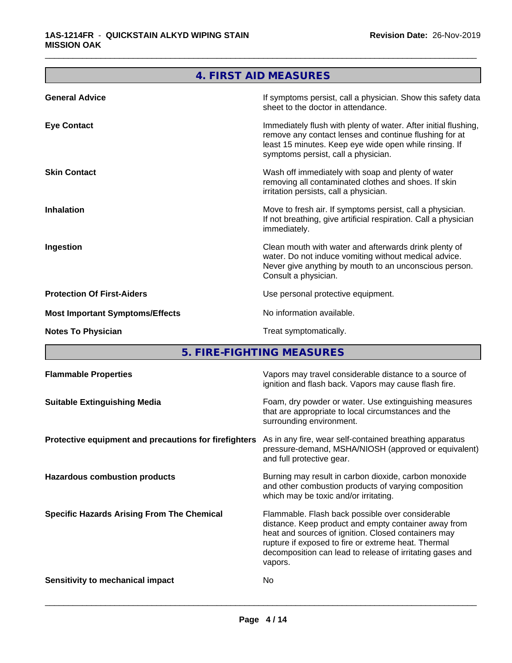|                                        | 4. FIRST AID MEASURES                                                                                                                                                                                                      |
|----------------------------------------|----------------------------------------------------------------------------------------------------------------------------------------------------------------------------------------------------------------------------|
| <b>General Advice</b>                  | If symptoms persist, call a physician. Show this safety data<br>sheet to the doctor in attendance.                                                                                                                         |
| <b>Eye Contact</b>                     | Immediately flush with plenty of water. After initial flushing,<br>remove any contact lenses and continue flushing for at<br>least 15 minutes. Keep eye wide open while rinsing. If<br>symptoms persist, call a physician. |
| <b>Skin Contact</b>                    | Wash off immediately with soap and plenty of water<br>removing all contaminated clothes and shoes. If skin<br>irritation persists, call a physician.                                                                       |
| <b>Inhalation</b>                      | Move to fresh air. If symptoms persist, call a physician.<br>If not breathing, give artificial respiration. Call a physician<br>immediately.                                                                               |
| Ingestion                              | Clean mouth with water and afterwards drink plenty of<br>water. Do not induce vomiting without medical advice.<br>Never give anything by mouth to an unconscious person.<br>Consult a physician.                           |
| <b>Protection Of First-Aiders</b>      | Use personal protective equipment.                                                                                                                                                                                         |
| <b>Most Important Symptoms/Effects</b> | No information available.                                                                                                                                                                                                  |
| <b>Notes To Physician</b>              | Treat symptomatically.                                                                                                                                                                                                     |
|                                        |                                                                                                                                                                                                                            |

**5. FIRE-FIGHTING MEASURES**

| <b>Flammable Properties</b>                           | Vapors may travel considerable distance to a source of<br>ignition and flash back. Vapors may cause flash fire.                                                                                                                                                                                |
|-------------------------------------------------------|------------------------------------------------------------------------------------------------------------------------------------------------------------------------------------------------------------------------------------------------------------------------------------------------|
| <b>Suitable Extinguishing Media</b>                   | Foam, dry powder or water. Use extinguishing measures<br>that are appropriate to local circumstances and the<br>surrounding environment.                                                                                                                                                       |
| Protective equipment and precautions for firefighters | As in any fire, wear self-contained breathing apparatus<br>pressure-demand, MSHA/NIOSH (approved or equivalent)<br>and full protective gear.                                                                                                                                                   |
| <b>Hazardous combustion products</b>                  | Burning may result in carbon dioxide, carbon monoxide<br>and other combustion products of varying composition<br>which may be toxic and/or irritating.                                                                                                                                         |
| <b>Specific Hazards Arising From The Chemical</b>     | Flammable. Flash back possible over considerable<br>distance. Keep product and empty container away from<br>heat and sources of ignition. Closed containers may<br>rupture if exposed to fire or extreme heat. Thermal<br>decomposition can lead to release of irritating gases and<br>vapors. |
| Sensitivity to mechanical impact                      | No                                                                                                                                                                                                                                                                                             |
|                                                       |                                                                                                                                                                                                                                                                                                |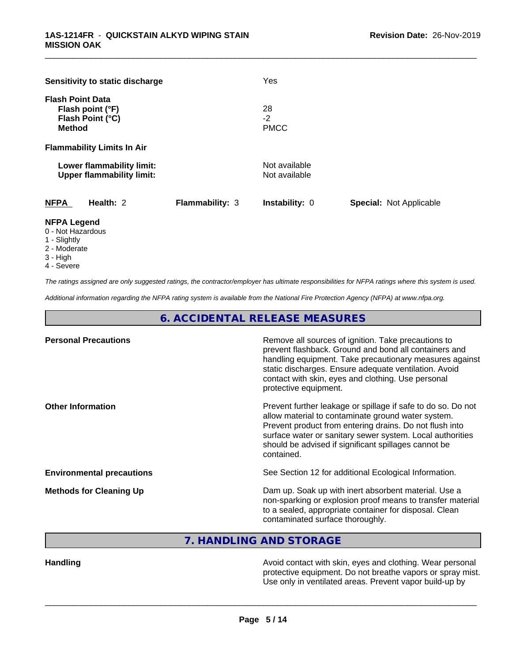| Sensitivity to static discharge                                                  |                        | Yes                            |                                |
|----------------------------------------------------------------------------------|------------------------|--------------------------------|--------------------------------|
| <b>Flash Point Data</b><br>Flash point (°F)<br>Flash Point (°C)<br><b>Method</b> |                        | 28<br>$-2$<br><b>PMCC</b>      |                                |
| <b>Flammability Limits In Air</b>                                                |                        |                                |                                |
| Lower flammability limit:<br><b>Upper flammability limit:</b>                    |                        | Not available<br>Not available |                                |
| <b>NFPA</b><br>Health: 2                                                         | <b>Flammability: 3</b> | <b>Instability: 0</b>          | <b>Special: Not Applicable</b> |
| <b>NIEDA LANAHA</b>                                                              |                        |                                |                                |

#### **NFPA Legend**

- 0 Not Hazardous
- 1 Slightly
- 2 Moderate
- 3 High
- 4 Severe

*The ratings assigned are only suggested ratings, the contractor/employer has ultimate responsibilities for NFPA ratings where this system is used.*

*Additional information regarding the NFPA rating system is available from the National Fire Protection Agency (NFPA) at www.nfpa.org.*

**6. ACCIDENTAL RELEASE MEASURES**

| prevent flashback. Ground and bond all containers and<br>handling equipment. Take precautionary measures against                                                                     |
|--------------------------------------------------------------------------------------------------------------------------------------------------------------------------------------|
| Prevent further leakage or spillage if safe to do so. Do not<br>Prevent product from entering drains. Do not flush into<br>surface water or sanitary sewer system. Local authorities |
|                                                                                                                                                                                      |
| non-sparking or explosion proof means to transfer material                                                                                                                           |
|                                                                                                                                                                                      |

**7. HANDLING AND STORAGE**

**Handling Handling Handling Avoid contact with skin, eyes and clothing. Wear personal <b>Handling** protective equipment. Do not breathe vapors or spray mist. Use only in ventilated areas. Prevent vapor build-up by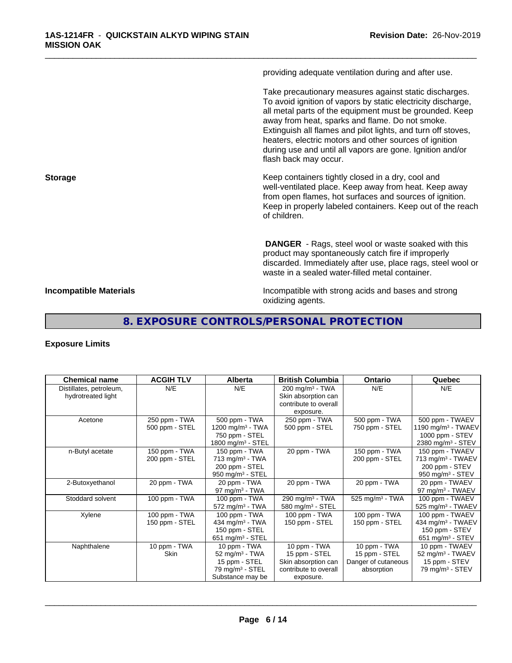providing adequate ventilation during and after use.

\_\_\_\_\_\_\_\_\_\_\_\_\_\_\_\_\_\_\_\_\_\_\_\_\_\_\_\_\_\_\_\_\_\_\_\_\_\_\_\_\_\_\_\_\_\_\_\_\_\_\_\_\_\_\_\_\_\_\_\_\_\_\_\_\_\_\_\_\_\_\_\_\_\_\_\_\_\_\_\_\_\_\_\_\_\_\_\_\_\_\_\_\_

Take precautionary measures against static discharges. To avoid ignition of vapors by static electricity discharge, all metal parts of the equipment must be grounded. Keep away from heat, sparks and flame. Do not smoke. Extinguish all flames and pilot lights, and turn off stoves, heaters, electric motors and other sources of ignition during use and until all vapors are gone. Ignition and/or flash back may occur.

**Storage Keep containers tightly closed in a dry, cool and get a dry and storage Keep containers tightly closed in a dry, cool and** well-ventilated place. Keep away from heat. Keep away from open flames, hot surfaces and sources of ignition. Keep in properly labeled containers. Keep out of the reach of children.

> **DANGER** - Rags, steel wool or waste soaked with this product may spontaneously catch fire if improperly discarded. Immediately after use, place rags, steel wool or waste in a sealed water-filled metal container.

**Incompatible Materials Incompatible with strong acids and bases and strong** oxidizing agents.

# **8. EXPOSURE CONTROLS/PERSONAL PROTECTION**

#### **Exposure Limits**

| <b>Chemical name</b>    | <b>ACGIH TLV</b> | <b>Alberta</b>                 | <b>British Columbia</b>       | <b>Ontario</b>              | Quebec                         |
|-------------------------|------------------|--------------------------------|-------------------------------|-----------------------------|--------------------------------|
| Distillates, petroleum, | N/E              | N/E                            | $200$ mg/m <sup>3</sup> - TWA | N/E                         | N/E                            |
| hydrotreated light      |                  |                                | Skin absorption can           |                             |                                |
|                         |                  |                                | contribute to overall         |                             |                                |
| Acetone                 | 250 ppm - TWA    | 500 ppm - TWA                  | exposure.<br>250 ppm - TWA    | 500 ppm - TWA               | 500 ppm - TWAEV                |
|                         | 500 ppm - STEL   | 1200 mg/m $3$ - TWA            | 500 ppm - STEL                | 750 ppm - STEL              | 1190 mg/m <sup>3</sup> - TWAEV |
|                         |                  | 750 ppm - STEL                 |                               |                             | 1000 ppm - STEV                |
|                         |                  | 1800 mg/m <sup>3</sup> - STEL  |                               |                             | 2380 mg/m <sup>3</sup> - STEV  |
| n-Butyl acetate         | 150 ppm - TWA    | 150 ppm - TWA                  | 20 ppm - TWA                  | 150 ppm - $TWA$             | 150 ppm - TWAEV                |
|                         | 200 ppm - STEL   | $713$ mg/m <sup>3</sup> - TWA  |                               | 200 ppm - STEL              | 713 mg/m $3$ - TWAEV           |
|                         |                  | 200 ppm - STEL                 |                               |                             | 200 ppm - STEV                 |
|                         |                  | $950$ mg/m <sup>3</sup> - STEL |                               |                             | 950 mg/m $3 -$ STEV            |
| 2-Butoxyethanol         | 20 ppm - TWA     | 20 ppm - TWA                   | 20 ppm - TWA                  | 20 ppm - TWA                | 20 ppm - TWAEV                 |
|                         |                  | 97 mg/m $3$ - TWA              |                               |                             | 97 mg/m <sup>3</sup> - TWAEV   |
| Stoddard solvent        | 100 ppm - TWA    | 100 ppm - TWA                  | 290 mg/m <sup>3</sup> - TWA   | 525 mg/m <sup>3</sup> - TWA | 100 ppm - TWAEV                |
|                         |                  | 572 mg/m <sup>3</sup> - TWA    | 580 mg/m <sup>3</sup> - STEL  |                             | 525 mg/m <sup>3</sup> - TWAEV  |
| Xylene                  | 100 ppm - TWA    | 100 ppm - TWA                  | 100 ppm - TWA                 | 100 ppm - TWA               | 100 ppm - TWAEV                |
|                         | 150 ppm - STEL   | 434 mg/m $3$ - TWA             | 150 ppm - STEL                | 150 ppm - STEL              | 434 mg/m <sup>3</sup> - TWAEV  |
|                         |                  | 150 ppm - STEL                 |                               |                             | 150 ppm - STEV                 |
|                         |                  | 651 mg/m $3 -$ STEL            |                               |                             | 651 mg/m <sup>3</sup> - STEV   |
| Naphthalene             | 10 ppm - TWA     | 10 ppm - TWA                   | 10 ppm - TWA                  | 10 ppm - TWA                | 10 ppm - TWAEV                 |
|                         | <b>Skin</b>      | 52 mg/m $3$ - TWA              | 15 ppm - STEL                 | 15 ppm - STEL               | 52 mg/m <sup>3</sup> - TWAEV   |
|                         |                  | 15 ppm - STEL                  | Skin absorption can           | Danger of cutaneous         | 15 ppm - STEV                  |
|                         |                  | 79 mg/m <sup>3</sup> - STEL    | contribute to overall         | absorption                  | 79 mg/m $3 -$ STEV             |
|                         |                  | Substance may be               | exposure.                     |                             |                                |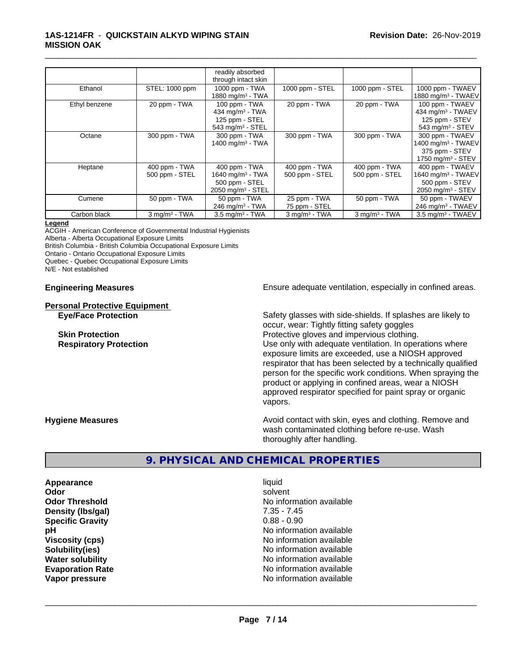#### **1AS-1214FR** - **QUICKSTAIN ALKYD WIPING STAIN MISSION OAK**

|               |                                 | readily absorbed<br>through intact skin                                                          |                                 |                                 |                                                                                               |
|---------------|---------------------------------|--------------------------------------------------------------------------------------------------|---------------------------------|---------------------------------|-----------------------------------------------------------------------------------------------|
| Ethanol       | STEL: 1000 ppm                  | 1000 ppm - TWA<br>1880 mg/m <sup>3</sup> - TWA                                                   | 1000 ppm - STEL                 | 1000 ppm - STEL                 | 1000 ppm - TWAEV<br>1880 mg/m <sup>3</sup> - TWAEV                                            |
| Ethyl benzene | 20 ppm - TWA                    | 100 ppm - TWA<br>434 mg/m <sup>3</sup> - TWA<br>125 ppm - STEL<br>$543$ mg/m <sup>3</sup> - STEL | 20 ppm - TWA                    | 20 ppm - TWA                    | 100 ppm - TWAEV<br>434 mg/m $3$ - TWAEV<br>125 ppm - STEV<br>543 mg/m $3 -$ STEV              |
| Octane        | 300 ppm - TWA                   | 300 ppm - TWA<br>1400 mg/m <sup>3</sup> - TWA                                                    | 300 ppm - TWA                   | 300 ppm - TWA                   | 300 ppm - TWAEV<br>$1400$ mg/m <sup>3</sup> - TWAEV<br>375 ppm - STEV<br>1750 mg/m $3 -$ STEV |
| Heptane       | 400 ppm - TWA<br>500 ppm - STEL | 400 ppm - TWA<br>1640 mg/m $3$ - TWA<br>500 ppm - STEL<br>$2050$ mg/m <sup>3</sup> - STEL        | 400 ppm - TWA<br>500 ppm - STEL | 400 ppm - TWA<br>500 ppm - STEL | 400 ppm - TWAEV<br>1640 mg/m <sup>3</sup> - TWAEV<br>500 ppm - STEV<br>2050 mg/m $3 -$ STEV   |
| Cumene        | 50 ppm - TWA                    | 50 ppm - TWA<br>246 mg/m $3$ - TWA                                                               | 25 ppm - TWA<br>75 ppm - STEL   | 50 ppm - $T\overline{WA}$       | 50 ppm - TWAEV<br>246 mg/m $3$ - TWAEV                                                        |
| Carbon black  | $3$ mg/m <sup>3</sup> - TWA     | $3.5$ mg/m <sup>3</sup> - TWA                                                                    | $3$ mg/m $3$ - TWA              | $3$ mg/m <sup>3</sup> - TWA     | 3.5 mg/m <sup>3</sup> - TWAEV                                                                 |

\_\_\_\_\_\_\_\_\_\_\_\_\_\_\_\_\_\_\_\_\_\_\_\_\_\_\_\_\_\_\_\_\_\_\_\_\_\_\_\_\_\_\_\_\_\_\_\_\_\_\_\_\_\_\_\_\_\_\_\_\_\_\_\_\_\_\_\_\_\_\_\_\_\_\_\_\_\_\_\_\_\_\_\_\_\_\_\_\_\_\_\_\_

#### **Legend**

ACGIH - American Conference of Governmental Industrial Hygienists Alberta - Alberta Occupational Exposure Limits British Columbia - British Columbia Occupational Exposure Limits

Ontario - Ontario Occupational Exposure Limits

Quebec - Quebec Occupational Exposure Limits

N/E - Not established

# **Personal Protective Equipment**

**Engineering Measures Ensure adequate ventilation, especially in confined areas.** 

**Eye/Face Protection** Safety glasses with side-shields. If splashes are likely to occur, wear: Tightly fitting safety goggles **Skin Protection Protection Protective gloves and impervious clothing. Respiratory Protection Number 1** (Use only with adequate ventilation. In operations where exposure limits are exceeded, use a NIOSH approved respirator that has been selected by a technically qualified person for the specific work conditions. When spraying the product or applying in confined areas, wear a NIOSH approved respirator specified for paint spray or organic vapors.

**Hygiene Measures Avoid contact with skin, eyes and clothing. Remove and Avoid contact with skin, eyes and clothing. Remove and** wash contaminated clothing before re-use. Wash thoroughly after handling.

# **9. PHYSICAL AND CHEMICAL PROPERTIES**

**Appearance** liquid and **a liquid liquid liquid** and **a liquid** solvent **Odor** solvent **Density (lbs/gal)** 7.35 - 7.45<br> **Specific Gravity** 6.88 - 0.90 **Specific Gravity** 

**Odor Threshold No information available No information available pH** No information available **Viscosity (cps)** No information available **Solubility(ies)** No information available **Water solubility** No information available **Evaporation Rate No information available No information available Vapor pressure** No information available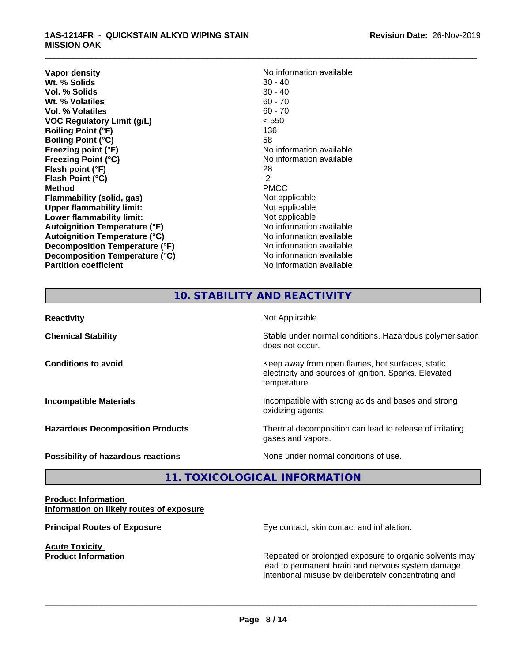#### **1AS-1214FR** - **QUICKSTAIN ALKYD WIPING STAIN MISSION OAK**

**Vapor density**<br> **We Solids**<br>
We Solids
20 - 40 **Wt. % Solids** 30 - 40<br> **Vol. % Solids** 30 - 40 **Vol. % Solids** 30 - 40<br> **Wt. % Volatiles** 60 - 70 **Wt. % Volatiles Vol. % Volatiles** 60 - 70 **VOC Regulatory Limit (g/L)** < 550 **Boiling Point (°F)** 136 **Boiling Point (°C)** 58 **Freezing point (°F)** The state of the state of the No information available **Freezing Point (°C)** and **COV** No information available **Flash point (°F)** 28 **Flash Point (°C)** -2 **Method** PMCC **Flammability (solid, gas)**<br> **Upper flammability limit:**<br>
Upper flammability limit:<br>  $\begin{array}{ccc}\n\bullet & \bullet & \bullet \\
\bullet & \bullet & \bullet\n\end{array}$ **Upper flammability limit: Lower flammability limit:**<br> **Autoignition Temperature (°F)** Not applicable available and the Mustafable and Mustafable and Mustafable and Mu **Autoignition Temperature (°F) Autoignition Temperature (°C)** No information available **Decomposition Temperature (°F)** No information available **Decomposition Temperature (°C)** No information available **Partition coefficient** No information available

\_\_\_\_\_\_\_\_\_\_\_\_\_\_\_\_\_\_\_\_\_\_\_\_\_\_\_\_\_\_\_\_\_\_\_\_\_\_\_\_\_\_\_\_\_\_\_\_\_\_\_\_\_\_\_\_\_\_\_\_\_\_\_\_\_\_\_\_\_\_\_\_\_\_\_\_\_\_\_\_\_\_\_\_\_\_\_\_\_\_\_\_\_

# **10. STABILITY AND REACTIVITY**

| <b>Reactivity</b>                         | Not Applicable                                                                                                            |
|-------------------------------------------|---------------------------------------------------------------------------------------------------------------------------|
| <b>Chemical Stability</b>                 | Stable under normal conditions. Hazardous polymerisation<br>does not occur.                                               |
| <b>Conditions to avoid</b>                | Keep away from open flames, hot surfaces, static<br>electricity and sources of ignition. Sparks. Elevated<br>temperature. |
| <b>Incompatible Materials</b>             | Incompatible with strong acids and bases and strong<br>oxidizing agents.                                                  |
| <b>Hazardous Decomposition Products</b>   | Thermal decomposition can lead to release of irritating<br>gases and vapors.                                              |
| <b>Possibility of hazardous reactions</b> | None under normal conditions of use.                                                                                      |

# **11. TOXICOLOGICAL INFORMATION**

#### **Product Information Information on likely routes of exposure**

**Acute Toxicity** 

**Principal Routes of Exposure Exposure** Eye contact, skin contact and inhalation.

**Product Information Repeated or prolonged exposure to organic solvents may** Repeated or prolonged exposure to organic solvents may lead to permanent brain and nervous system damage. Intentional misuse by deliberately concentrating and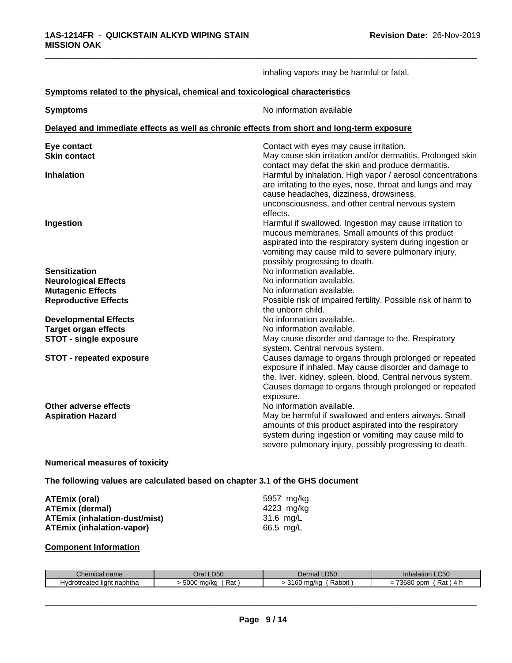|                                                                                            | inhaling vapors may be harmful or fatal.                                                                                                                                                                                                                         |
|--------------------------------------------------------------------------------------------|------------------------------------------------------------------------------------------------------------------------------------------------------------------------------------------------------------------------------------------------------------------|
| Symptoms related to the physical, chemical and toxicological characteristics               |                                                                                                                                                                                                                                                                  |
| <b>Symptoms</b>                                                                            | No information available                                                                                                                                                                                                                                         |
| Delayed and immediate effects as well as chronic effects from short and long-term exposure |                                                                                                                                                                                                                                                                  |
| Eye contact<br><b>Skin contact</b>                                                         | Contact with eyes may cause irritation.<br>May cause skin irritation and/or dermatitis. Prolonged skin<br>contact may defat the skin and produce dermatitis.                                                                                                     |
| <b>Inhalation</b>                                                                          | Harmful by inhalation. High vapor / aerosol concentrations<br>are irritating to the eyes, nose, throat and lungs and may<br>cause headaches, dizziness, drowsiness,<br>unconsciousness, and other central nervous system<br>effects.                             |
| Ingestion                                                                                  | Harmful if swallowed. Ingestion may cause irritation to<br>mucous membranes. Small amounts of this product<br>aspirated into the respiratory system during ingestion or<br>vomiting may cause mild to severe pulmonary injury,<br>possibly progressing to death. |
| <b>Sensitization</b>                                                                       | No information available.                                                                                                                                                                                                                                        |
| <b>Neurological Effects</b>                                                                | No information available.                                                                                                                                                                                                                                        |
| <b>Mutagenic Effects</b>                                                                   | No information available.                                                                                                                                                                                                                                        |
| <b>Reproductive Effects</b>                                                                | Possible risk of impaired fertility. Possible risk of harm to<br>the unborn child.                                                                                                                                                                               |
| <b>Developmental Effects</b>                                                               | No information available.                                                                                                                                                                                                                                        |
| <b>Target organ effects</b>                                                                | No information available.                                                                                                                                                                                                                                        |
| <b>STOT - single exposure</b>                                                              | May cause disorder and damage to the. Respiratory<br>system. Central nervous system.                                                                                                                                                                             |
| <b>STOT - repeated exposure</b>                                                            | Causes damage to organs through prolonged or repeated<br>exposure if inhaled. May cause disorder and damage to<br>the. liver. kidney. spleen. blood. Central nervous system.<br>Causes damage to organs through prolonged or repeated<br>exposure.               |
| Other adverse effects<br><b>Aspiration Hazard</b>                                          | No information available.<br>May be harmful if swallowed and enters airways. Small<br>amounts of this product aspirated into the respiratory<br>system during ingestion or vomiting may cause mild to<br>severe pulmonary injury, possibly progressing to death. |

#### **Numerical measures of toxicity**

**The following values are calculated based on chapter 3.1 of the GHS document**

| ATEmix (oral)                 | 5957 mg/ka |
|-------------------------------|------------|
| <b>ATEmix (dermal)</b>        | 4223 mg/ka |
| ATEmix (inhalation-dust/mist) | 31.6 mg/L  |
| ATEmix (inhalation-vapor)     | 66.5 mg/L  |

#### **Component Information**

| $\sim$                                             | D50                  | $- - -$                                      | Inhalation LC50                                            |
|----------------------------------------------------|----------------------|----------------------------------------------|------------------------------------------------------------|
| Chemical name                                      | )ral                 | Dermal LD50                                  |                                                            |
| .<br><sup>+</sup> naphtha<br>Hydrotreated<br>liaht | 5000<br>Rai<br>ma/ko | $\sim$ . $\sim$<br>Rabbit<br>ma/ka<br>uu<br> | 70000<br>ppm<br>Rat<br>$\overline{\phantom{a}}$<br>=<br>יי |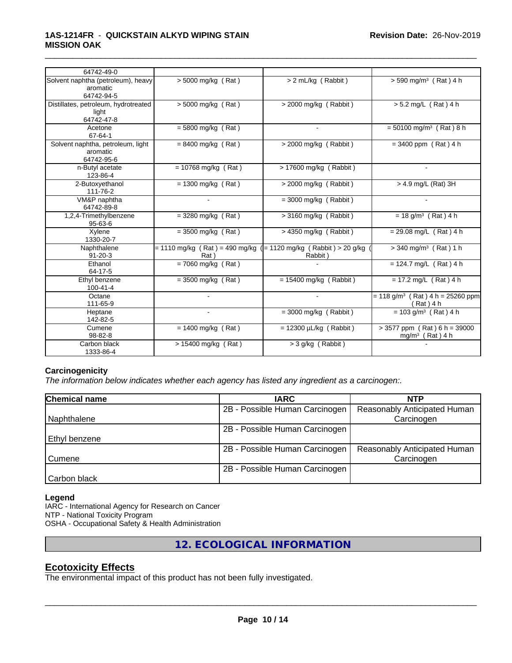| 64742-49-0                                                   |                                                                          |                             |                                                               |
|--------------------------------------------------------------|--------------------------------------------------------------------------|-----------------------------|---------------------------------------------------------------|
| Solvent naphtha (petroleum), heavy<br>aromatic<br>64742-94-5 | $> 5000$ mg/kg (Rat)                                                     | > 2 mL/kg (Rabbit)          | $> 590$ mg/m <sup>3</sup> (Rat) 4 h                           |
| Distillates, petroleum, hydrotreated<br>light<br>64742-47-8  | $> 5000$ mg/kg (Rat)                                                     | > 2000 mg/kg (Rabbit)       | > 5.2 mg/L (Rat) 4 h                                          |
| Acetone<br>67-64-1                                           | $= 5800$ mg/kg (Rat)                                                     |                             | $= 50100$ mg/m <sup>3</sup> (Rat) 8 h                         |
| Solvent naphtha, petroleum, light<br>aromatic<br>64742-95-6  | $= 8400$ mg/kg (Rat)                                                     | $>$ 2000 mg/kg (Rabbit)     | $= 3400$ ppm (Rat) 4 h                                        |
| n-Butyl acetate<br>123-86-4                                  | $= 10768$ mg/kg (Rat)                                                    | > 17600 mg/kg (Rabbit)      | $\blacksquare$                                                |
| 2-Butoxyethanol<br>111-76-2                                  | $= 1300$ mg/kg (Rat)                                                     | $>$ 2000 mg/kg (Rabbit)     | > 4.9 mg/L (Rat) 3H                                           |
| VM&P naphtha<br>64742-89-8                                   | $\sim$                                                                   | $=$ 3000 mg/kg (Rabbit)     |                                                               |
| 1,2,4-Trimethylbenzene<br>$95 - 63 - 6$                      | $=$ 3280 mg/kg (Rat)                                                     | > 3160 mg/kg (Rabbit)       | $= 18$ g/m <sup>3</sup> (Rat) 4 h                             |
| Xylene<br>1330-20-7                                          | $=$ 3500 mg/kg (Rat)                                                     | $> 4350$ mg/kg (Rabbit)     | $= 29.08$ mg/L (Rat) 4 h                                      |
| Naphthalene<br>$91 - 20 - 3$                                 | = 1110 mg/kg (Rat) = 490 mg/kg ( = 1120 mg/kg (Rabbit) > 20 g/kg<br>Rat) | Rabbit)                     | $>$ 340 mg/m <sup>3</sup> (Rat) 1 h                           |
| Ethanol<br>64-17-5                                           | $= 7060$ mg/kg (Rat)                                                     |                             | = 124.7 mg/ $\overline{L}$ (Rat) 4 h                          |
| Ethyl benzene<br>$100 - 41 - 4$                              | $=$ 3500 mg/kg (Rat)                                                     | $= 15400$ mg/kg (Rabbit)    | $= 17.2$ mg/L (Rat) 4 h                                       |
| Octane<br>111-65-9                                           |                                                                          | $\overline{\phantom{a}}$    | $= 118$ g/m <sup>3</sup> (Rat) 4 h = 25260 ppm<br>(Rat) 4 h   |
| Heptane<br>142-82-5                                          |                                                                          | $=$ 3000 mg/kg (Rabbit)     | $= 103$ g/m <sup>3</sup> (Rat) 4 h                            |
| Cumene<br>98-82-8                                            | $= 1400$ mg/kg (Rat)                                                     | $= 12300 \mu L/kg$ (Rabbit) | $> 3577$ ppm (Rat) 6 h = 39000<br>mg/m <sup>3</sup> (Rat) 4 h |
| Carbon black<br>1333-86-4                                    | > 15400 mg/kg (Rat)                                                      | $>$ 3 g/kg (Rabbit)         |                                                               |

#### **Carcinogenicity**

*The information below indicateswhether each agency has listed any ingredient as a carcinogen:.*

| Chemical name | <b>IARC</b>                    | <b>NTP</b>                   |
|---------------|--------------------------------|------------------------------|
|               | 2B - Possible Human Carcinogen | Reasonably Anticipated Human |
| Naphthalene   |                                | Carcinogen                   |
|               | 2B - Possible Human Carcinogen |                              |
| Ethyl benzene |                                |                              |
|               | 2B - Possible Human Carcinogen | Reasonably Anticipated Human |
| Cumene        |                                | Carcinogen                   |
|               | 2B - Possible Human Carcinogen |                              |
| Carbon black  |                                |                              |

#### **Legend**

IARC - International Agency for Research on Cancer NTP - National Toxicity Program OSHA - Occupational Safety & Health Administration

**12. ECOLOGICAL INFORMATION**

## **Ecotoxicity Effects**

The environmental impact of this product has not been fully investigated.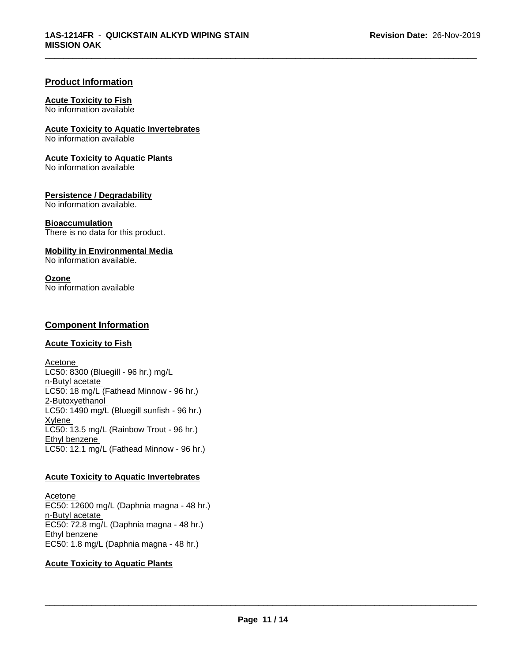#### **Product Information**

#### **Acute Toxicity to Fish**

No information available

**Acute Toxicity to Aquatic Invertebrates**

No information available

#### **Acute Toxicity to Aquatic Plants**

No information available

#### **Persistence / Degradability**

No information available.

#### **Bioaccumulation**

There is no data for this product.

#### **Mobility in Environmental Media**

No information available.

#### **Ozone**

No information available

# **Component Information**

#### **Acute Toxicity to Fish**

Acetone LC50: 8300 (Bluegill - 96 hr.) mg/L n-Butyl acetate LC50: 18 mg/L (Fathead Minnow - 96 hr.) 2-Butoxyethanol  $LC50: 1490$  mg/L (Bluegill sunfish - 96 hr.) **Xylene** LC50: 13.5 mg/L (Rainbow Trout - 96 hr.) Ethyl benzene LC50: 12.1 mg/L (Fathead Minnow - 96 hr.)

#### **Acute Toxicity to Aquatic Invertebrates**

Acetone EC50: 12600 mg/L (Daphnia magna - 48 hr.) n-Butyl acetate EC50: 72.8 mg/L (Daphnia magna - 48 hr.) Ethyl benzene EC50: 1.8 mg/L (Daphnia magna - 48 hr.)

#### **Acute Toxicity to Aquatic Plants**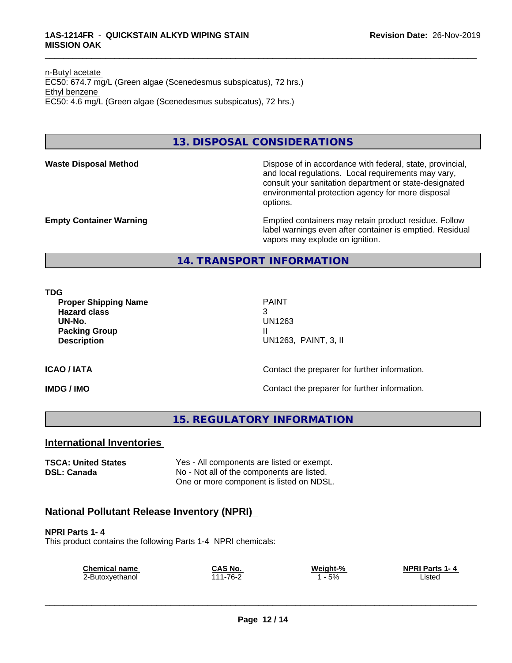n-Butyl acetate EC50: 674.7 mg/L (Green algae (Scenedesmus subspicatus), 72 hrs.) Ethyl benzene EC50: 4.6 mg/L (Green algae (Scenedesmus subspicatus), 72 hrs.)

# **13. DISPOSAL CONSIDERATIONS**

**Waste Disposal Method Dispose of in accordance with federal, state, provincial,** and local regulations. Local requirements may vary, consult your sanitation department or state-designated environmental protection agency for more disposal options.

**Empty Container Warning <b>Emptied** Containers may retain product residue. Follow label warnings even after container is emptied. Residual vapors may explode on ignition.

**14. TRANSPORT INFORMATION**

**TDG**

**Proper Shipping Name** PAINT **Hazard class** 3 **UN-No.** UN1263 **Packing Group III Description** UN1263, PAINT, 3, II

\_\_\_\_\_\_\_\_\_\_\_\_\_\_\_\_\_\_\_\_\_\_\_\_\_\_\_\_\_\_\_\_\_\_\_\_\_\_\_\_\_\_\_\_\_\_\_\_\_\_\_\_\_\_\_\_\_\_\_\_\_\_\_\_\_\_\_\_\_\_\_\_\_\_\_\_\_\_\_\_\_\_\_\_\_\_\_\_\_\_\_\_\_

#### **ICAO / IATA ICAO / IATA Contact the preparer for further information.**

**IMDG / IMO Contact the preparer for further information.** 

**15. REGULATORY INFORMATION**

## **International Inventories**

**TSCA: United States** Yes - All components are listed or exempt. **DSL: Canada** No - Not all of the components are listed. One or more component is listed on NDSL.

# **National Pollutant Release Inventory (NPRI)**

**NPRI Parts 1- 4** This product contains the following Parts 1-4 NPRI chemicals:

| <b>Chemical name</b> | CAS No.  | Weight-% | <b>NPRI Parts 1-4</b> |
|----------------------|----------|----------|-----------------------|
| 2-Butoxyethanol      | 111-76-2 | 5%       | Listed                |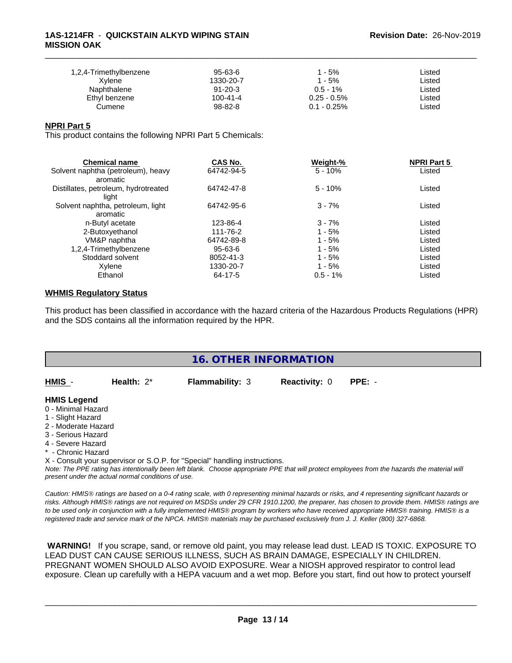#### **1AS-1214FR** - **QUICKSTAIN ALKYD WIPING STAIN MISSION OAK**

| 1,2,4-Trimethylbenzene | 95-63-6        | 1 - 5%         | ∟isted |  |
|------------------------|----------------|----------------|--------|--|
| Xvlene                 | 1330-20-7      | ' - 5%         | ∟isted |  |
| Naphthalene            | $91 - 20 - 3$  | $0.5 - 1\%$    | ∟isted |  |
| Ethyl benzene          | $100 - 41 - 4$ | $0.25 - 0.5\%$ | ∟isted |  |
| Cumene                 | 98-82-8        | $0.1 - 0.25\%$ | Listed |  |

\_\_\_\_\_\_\_\_\_\_\_\_\_\_\_\_\_\_\_\_\_\_\_\_\_\_\_\_\_\_\_\_\_\_\_\_\_\_\_\_\_\_\_\_\_\_\_\_\_\_\_\_\_\_\_\_\_\_\_\_\_\_\_\_\_\_\_\_\_\_\_\_\_\_\_\_\_\_\_\_\_\_\_\_\_\_\_\_\_\_\_\_\_

#### **NPRI Part 5**

This product contains the following NPRI Part 5 Chemicals:

| <b>Chemical name</b>                 | CAS No.       | Weight-%    | <b>NPRI Part 5</b> |  |
|--------------------------------------|---------------|-------------|--------------------|--|
| Solvent naphtha (petroleum), heavy   | 64742-94-5    | $5 - 10%$   | Listed             |  |
| aromatic                             |               |             |                    |  |
| Distillates, petroleum, hydrotreated | 64742-47-8    | $5 - 10%$   | Listed             |  |
| light                                |               |             |                    |  |
| Solvent naphtha, petroleum, light    | 64742-95-6    | $3 - 7%$    | Listed             |  |
| aromatic                             |               |             |                    |  |
| n-Butyl acetate                      | 123-86-4      | $3 - 7%$    | Listed             |  |
| 2-Butoxyethanol                      | 111-76-2      | $1 - 5%$    | Listed             |  |
| VM&P naphtha                         | 64742-89-8    | $1 - 5%$    | Listed             |  |
| 1,2,4-Trimethylbenzene               | $95 - 63 - 6$ | $1 - 5%$    | Listed             |  |
| Stoddard solvent                     | 8052-41-3     | $1 - 5%$    | Listed             |  |
| Xylene                               | 1330-20-7     | $1 - 5%$    | Listed             |  |
| Ethanol                              | 64-17-5       | $0.5 - 1\%$ | Listed             |  |

## **WHMIS Regulatory Status**

This product has been classified in accordance with the hazard criteria of the Hazardous Products Regulations (HPR) and the SDS contains all the information required by the HPR.

 **WARNING!** If you scrape, sand, or remove old paint, you may release lead dust. LEAD IS TOXIC. EXPOSURE TO LEAD DUST CAN CAUSE SERIOUS ILLNESS, SUCH AS BRAIN DAMAGE, ESPECIALLY IN CHILDREN. PREGNANT WOMEN SHOULD ALSO AVOID EXPOSURE. Wear a NIOSH approved respirator to control lead exposure. Clean up carefully with a HEPA vacuum and a wet mop. Before you start, find out how to protect yourself